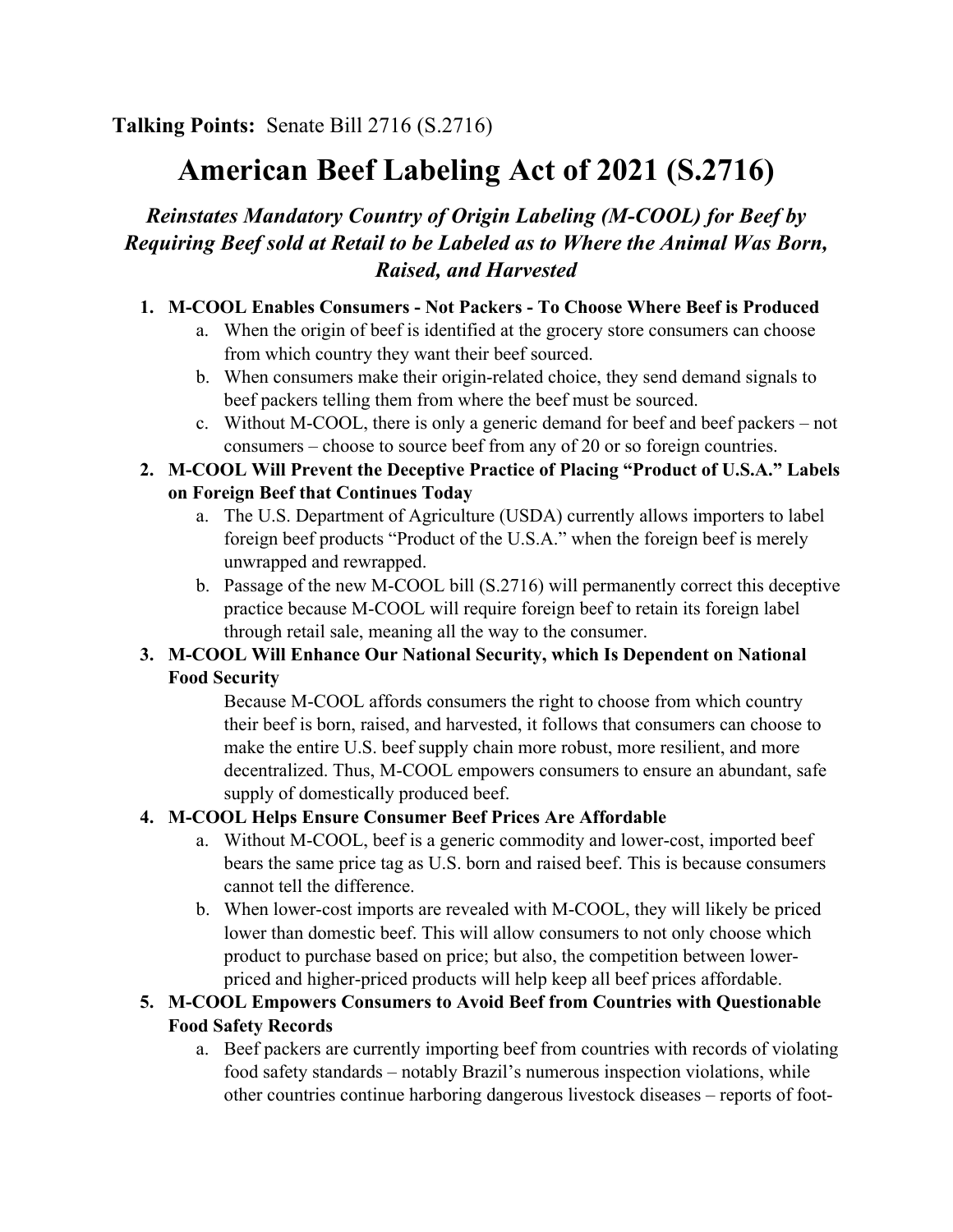# **American Beef Labeling Act of 2021 (S.2716)**

## *Reinstates Mandatory Country of Origin Labeling (M-COOL) for Beef by Requiring Beef sold at Retail to be Labeled as to Where the Animal Was Born, Raised, and Harvested*

#### **1. M-COOL Enables Consumers - Not Packers - To Choose Where Beef is Produced**

- a. When the origin of beef is identified at the grocery store consumers can choose from which country they want their beef sourced.
- b. When consumers make their origin-related choice, they send demand signals to beef packers telling them from where the beef must be sourced.
- c. Without M-COOL, there is only a generic demand for beef and beef packers not consumers – choose to source beef from any of 20 or so foreign countries.

#### **2. M-COOL Will Prevent the Deceptive Practice of Placing "Product of U.S.A." Labels on Foreign Beef that Continues Today**

- a. The U.S. Department of Agriculture (USDA) currently allows importers to label foreign beef products "Product of the U.S.A." when the foreign beef is merely unwrapped and rewrapped.
- b. Passage of the new M-COOL bill (S.2716) will permanently correct this deceptive practice because M-COOL will require foreign beef to retain its foreign label through retail sale, meaning all the way to the consumer.

#### **3. M-COOL Will Enhance Our National Security, which Is Dependent on National Food Security**

Because M-COOL affords consumers the right to choose from which country their beef is born, raised, and harvested, it follows that consumers can choose to make the entire U.S. beef supply chain more robust, more resilient, and more decentralized. Thus, M-COOL empowers consumers to ensure an abundant, safe supply of domestically produced beef.

#### **4. M-COOL Helps Ensure Consumer Beef Prices Are Affordable**

- a. Without M-COOL, beef is a generic commodity and lower-cost, imported beef bears the same price tag as U.S. born and raised beef. This is because consumers cannot tell the difference.
- b. When lower-cost imports are revealed with M-COOL, they will likely be priced lower than domestic beef. This will allow consumers to not only choose which product to purchase based on price; but also, the competition between lowerpriced and higher-priced products will help keep all beef prices affordable.

#### **5. M-COOL Empowers Consumers to Avoid Beef from Countries with Questionable Food Safety Records**

a. Beef packers are currently importing beef from countries with records of violating food safety standards – notably Brazil's numerous inspection violations, while other countries continue harboring dangerous livestock diseases – reports of foot-